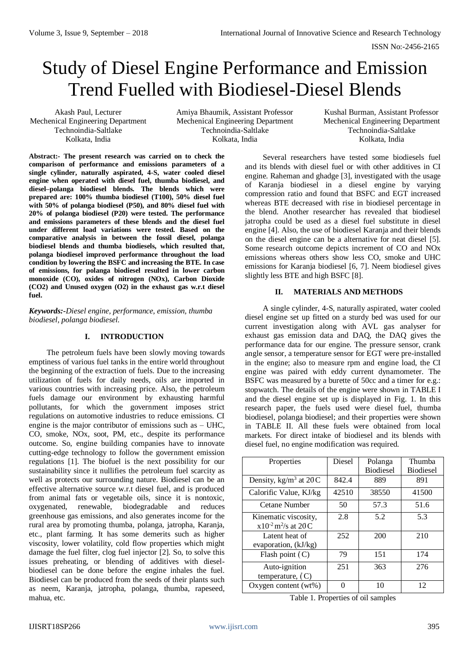# Study of Diesel Engine Performance and Emission Trend Fuelled with Biodiesel-Diesel Blends

Akash Paul, Lecturer Mechenical Engineering Department Technoindia-Saltlake Kolkata, India

Amiya Bhaumik, Assistant Professor Mechenical Engineering Department Technoindia-Saltlake Kolkata, India

Kushal Burman, Assistant Professor Mechenical Engineering Department Technoindia-Saltlake Kolkata, India

**Abstract:- The present research was carried on to check the comparison of performance and emissions parameters of a single cylinder, naturally aspirated, 4-S, water cooled diesel engine when operated with diesel fuel, thumba biodiesel, and diesel–polanga biodiesel blends. The blends which were prepared are: 100% thumba biodiesel (T100), 50% diesel fuel with 50% of polanga biodiesel (P50), and 80% diesel fuel with 20% of polanga biodiesel (P20) were tested. The performance and emissions parameters of these blends and the diesel fuel under different load variations were tested. Based on the comparative analysis in between the fossil diesel, polanga biodiesel blends and thumba biodiesels, which resulted that, polanga biodiesel improved performance throughout the load condition by lowering the BSFC and increasing the BTE. In case of emissions, for polanga biodiesel resulted in lower carbon monoxide (CO), oxides of nitrogen (NOx), Carbon Dioxide (CO2) and Unused oxygen (O2) in the exhaust gas w.r.t diesel fuel.**

*Keywords:-Diesel engine, performance, emission, thumba biodiesel, polanga biodiesel.*

# **I. INTRODUCTION**

The petroleum fuels have been slowly moving towards emptiness of various fuel tanks in the entire world throughout the beginning of the extraction of fuels. Due to the increasing utilization of fuels for daily needs, oils are imported in various countries with increasing price. Also, the petroleum fuels damage our environment by exhausting harmful pollutants, for which the government imposes strict regulations on automotive industries to reduce emissions. CI engine is the major contributor of emissions such as – UHC, CO, smoke, NOx, soot, PM, etc., despite its performance outcome. So, engine building companies have to innovate cutting-edge technology to follow the government emission regulations [1]. The biofuel is the next possibility for our sustainability since it nullifies the petroleum fuel scarcity as well as protects our surrounding nature. Biodiesel can be an effective alternative source w.r.t diesel fuel, and is produced from animal fats or vegetable oils, since it is nontoxic, oxygenated, renewable, biodegradable and reduces greenhouse gas emissions, and also generates income for the rural area by promoting thumba, polanga, jatropha, Karanja, etc., plant farming. It has some demerits such as higher viscosity, lower volatility, cold flow properties which might damage the fuel filter, clog fuel injector [2]. So, to solve this issues preheating, or blending of additives with dieselbiodiesel can be done before the engine inhales the fuel. Biodiesel can be produced from the seeds of their plants such as neem, Karanja, jatropha, polanga, thumba, rapeseed, mahua, etc.

Several researchers have tested some biodiesels fuel and its blends with diesel fuel or with other additives in CI engine. Raheman and ghadge [3], investigated with the usage of Karanja biodiesel in a diesel engine by varying compression ratio and found that BSFC and EGT increased whereas BTE decreased with rise in biodiesel percentage in the blend. Another researcher has revealed that biodiesel jatropha could be used as a diesel fuel substitute in diesel engine [4]. Also, the use of biodiesel Karanja and their blends on the diesel engine can be a alternative for neat diesel [5]. Some research outcome depicts increment of CO and NOx emissions whereas others show less CO, smoke and UHC emissions for Karanja biodiesel [6, 7]. Neem biodiesel gives slightly less BTE and high BSFC [8].

# **II. MATERIALS AND METHODS**

A single cylinder, 4-S, naturally aspirated, water cooled diesel engine set up fitted on a sturdy bed was used for our current investigation along with AVL gas analyser for exhaust gas emission data and DAQ, the DAQ gives the performance data for our engine. The pressure sensor, crank angle sensor, a temperature sensor for EGT were pre-installed in the engine; also to measure rpm and engine load, the CI engine was paired with eddy current dynamometer. The BSFC was measured by a burette of 50cc and a timer for e.g.: stopwatch. The details of the engine were shown in TABLE I and the diesel engine set up is displayed in Fig. 1. In this research paper, the fuels used were diesel fuel, thumba biodiesel, polanga biodiesel; and their properties were shown in TABLE II. All these fuels were obtained from local markets. For direct intake of biodiesel and its blends with diesel fuel, no engine modification was required.

| Properties                                                   | Diesel | Polanga          | Thumba           |
|--------------------------------------------------------------|--------|------------------|------------------|
|                                                              |        | <b>Biodiesel</b> | <b>Biodiesel</b> |
| Density, kg/m <sup>3</sup> at $20C$                          | 842.4  | 889              | 891              |
| Calorific Value, KJ/kg                                       | 42510  | 38550            | 41500            |
| Cetane Number                                                | 50     | 57.3             | 51.6             |
| Kinematic viscosity,<br>$x10^{-2}$ m <sup>2</sup> /s at 20 C | 2.8    | 5.2              | 5.3              |
| Latent heat of<br>evaporation, (kJ/kg)                       | 252    | 200              | 210              |
| Flash point $(C)$                                            | 79     | 151              | 174              |
| Auto-ignition<br>temperature, $(C)$                          | 251    | 363              | 276              |
| Oxygen content $(wt\%)$                                      |        | 10               | 12               |

Table 1. Properties of oil samples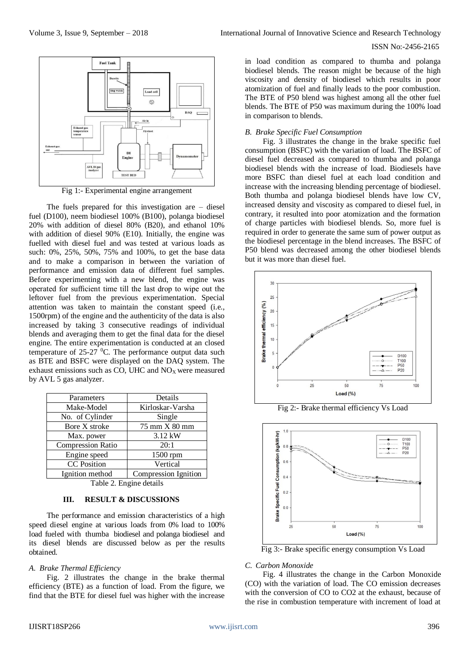

Fig 1:- Experimental engine arrangement

The fuels prepared for this investigation are  $-$  diesel fuel (D100), neem biodiesel 100% (B100), polanga biodiesel 20% with addition of diesel 80% (B20), and ethanol 10% with addition of diesel 90% (E10). Initially, the engine was fuelled with diesel fuel and was tested at various loads as such: 0%, 25%, 50%, 75% and 100%, to get the base data and to make a comparison in between the variation of performance and emission data of different fuel samples. Before experimenting with a new blend, the engine was operated for sufficient time till the last drop to wipe out the leftover fuel from the previous experimentation. Special attention was taken to maintain the constant speed (i.e., 1500rpm) of the engine and the authenticity of the data is also increased by taking 3 consecutive readings of individual blends and averaging them to get the final data for the diesel engine. The entire experimentation is conducted at an closed temperature of  $25-27$  <sup>o</sup>C. The performance output data such as BTE and BSFC were displayed on the DAQ system. The exhaust emissions such as CO, UHC and NO<sub>X</sub> were measured by AVL 5 gas analyzer.

| Parameters               | Details                     |  |
|--------------------------|-----------------------------|--|
| Make-Model               | Kirloskar-Varsha            |  |
| No. of Cylinder          | Single                      |  |
| Bore X stroke            | 75 mm X 80 mm               |  |
| Max. power               | $3.12 \text{ kW}$           |  |
| <b>Compression Ratio</b> | 20:1                        |  |
| Engine speed             | 1500 rpm                    |  |
| <b>CC</b> Position       | Vertical                    |  |
| Ignition method          | <b>Compression Ignition</b> |  |

Table 2. Engine details

## **III. RESULT & DISCUSSIONS**

The performance and emission characteristics of a high speed diesel engine at various loads from 0% load to 100% load fueled with thumba biodiesel and polanga biodiesel and its diesel blends are discussed below as per the results obtained.

#### *A. Brake Thermal Efficiency*

Fig. 2 illustrates the change in the brake thermal efficiency (BTE) as a function of load. From the figure, we find that the BTE for diesel fuel was higher with the increase in load condition as compared to thumba and polanga biodiesel blends. The reason might be because of the high viscosity and density of biodiesel which results in poor atomization of fuel and finally leads to the poor combustion. The BTE of P50 blend was highest among all the other fuel blends. The BTE of P50 was maximum during the 100% load in comparison to blends.

## *B. Brake Specific Fuel Consumption*

Fig. 3 illustrates the change in the brake specific fuel consumption (BSFC) with the variation of load. The BSFC of diesel fuel decreased as compared to thumba and polanga biodiesel blends with the increase of load. Biodiesels have more BSFC than diesel fuel at each load condition and increase with the increasing blending percentage of biodiesel. Both thumba and polanga biodiesel blends have low CV, increased density and viscosity as compared to diesel fuel, in contrary, it resulted into poor atomization and the formation of charge particles with biodiesel blends. So, more fuel is required in order to generate the same sum of power output as the biodiesel percentage in the blend increases. The BSFC of P50 blend was decreased among the other biodiesel blends but it was more than diesel fuel.



Fig 2:- Brake thermal efficiency Vs Load



Fig 3:- Brake specific energy consumption Vs Load

#### *C. Carbon Monoxide*

Fig. 4 illustrates the change in the Carbon Monoxide (CO) with the variation of load. The CO emission decreases with the conversion of CO to CO2 at the exhaust, because of the rise in combustion temperature with increment of load at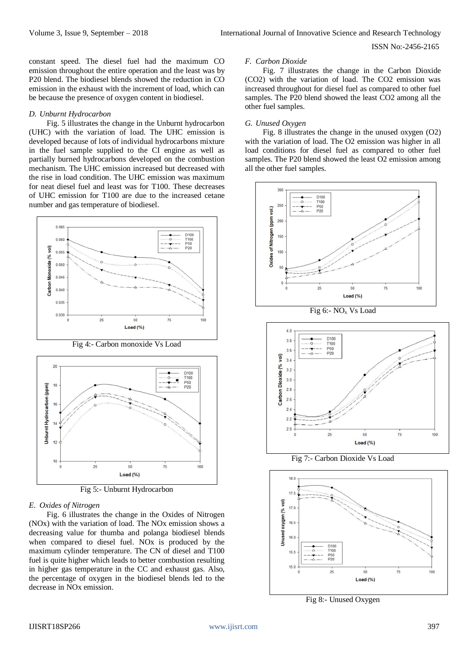constant speed. The diesel fuel had the maximum CO emission throughout the entire operation and the least was by P20 blend. The biodiesel blends showed the reduction in CO emission in the exhaust with the increment of load, which can be because the presence of oxygen content in biodiesel.

#### *D. Unburnt Hydrocarbon*

Fig. 5 illustrates the change in the Unburnt hydrocarbon (UHC) with the variation of load. The UHC emission is developed because of lots of individual hydrocarbons mixture in the fuel sample supplied to the CI engine as well as partially burned hydrocarbons developed on the combustion mechanism. The UHC emission increased but decreased with the rise in load condition. The UHC emission was maximum for neat diesel fuel and least was for T100. These decreases of UHC emission for T100 are due to the increased cetane number and gas temperature of biodiesel.



Fig 4:- Carbon monoxide Vs Load



Fig 5:- Unburnt Hydrocarbon

#### *E. Oxides of Nitrogen*

Fig. 6 illustrates the change in the Oxides of Nitrogen (NOx) with the variation of load. The NOx emission shows a decreasing value for thumba and polanga biodiesel blends when compared to diesel fuel. NOx is produced by the maximum cylinder temperature. The CN of diesel and T100 fuel is quite higher which leads to better combustion resulting in higher gas temperature in the CC and exhaust gas. Also, the percentage of oxygen in the biodiesel blends led to the decrease in NOx emission.

#### *F. Carbon Dioxide*

Fig. 7 illustrates the change in the Carbon Dioxide (CO2) with the variation of load. The CO2 emission was increased throughout for diesel fuel as compared to other fuel samples. The P20 blend showed the least CO2 among all the other fuel samples.

#### *G. Unused Oxygen*

Fig. 8 illustrates the change in the unused oxygen (O2) with the variation of load. The O2 emission was higher in all load conditions for diesel fuel as compared to other fuel samples. The P20 blend showed the least O2 emission among all the other fuel samples.



Fig 6:- NO<sub>x</sub> V<sub>s</sub> Load



Fig 7:- Carbon Dioxide Vs Load



Fig 8:- Unused Oxygen